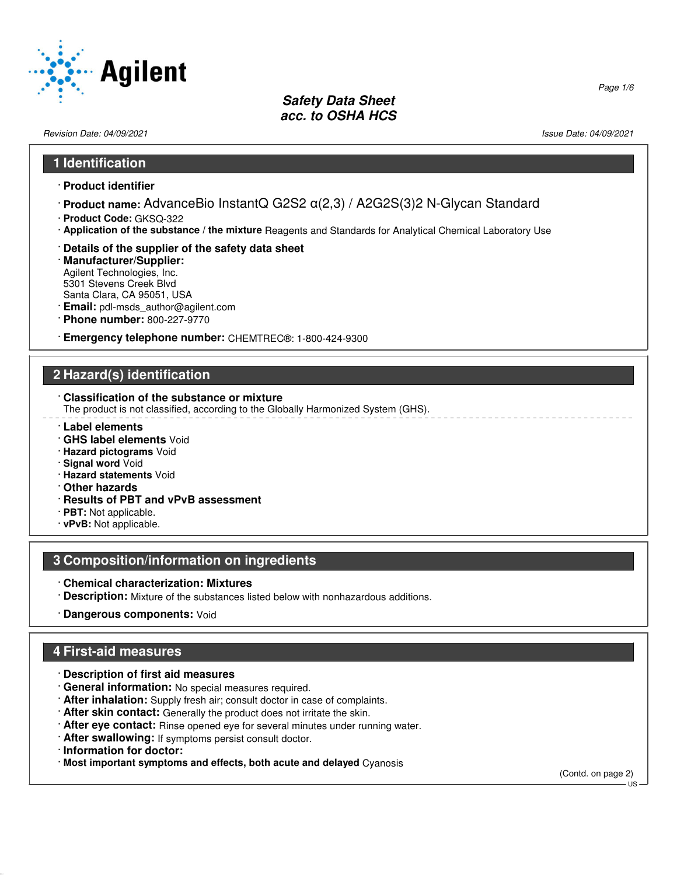

Revision Date: 04/09/2021 Issue Date: 04/09/2021

#### **1 Identification**

- · **Product identifier**
- · **Product name:** AdvanceBio InstantQ G2S2 α(2,3) / A2G2S(3)2 N-Glycan Standard
- · **Product Code:** GKSQ-322
- · **Application of the substance / the mixture** Reagents and Standards for Analytical Chemical Laboratory Use
- · **Details of the supplier of the safety data sheet**
- · **Manufacturer/Supplier:** Agilent Technologies, Inc. 5301 Stevens Creek Blvd Santa Clara, CA 95051, USA
- · **Email:** pdl-msds\_author@agilent.com
- · **Phone number:** 800-227-9770
- · **Emergency telephone number:** CHEMTREC®: 1-800-424-9300

### **2 Hazard(s) identification**

· **Classification of the substance or mixture**

The product is not classified, according to the Globally Harmonized System (GHS).

- · **Label elements**
- · **GHS label elements** Void
- · **Hazard pictograms** Void
- · **Signal word** Void
- · **Hazard statements** Void
- · **Other hazards**
- · **Results of PBT and vPvB assessment**
- · **PBT:** Not applicable.
- · **vPvB:** Not applicable.

### **3 Composition/information on ingredients**

- · **Chemical characterization: Mixtures**
- · **Description:** Mixture of the substances listed below with nonhazardous additions.
- · **Dangerous components:** Void

## **4 First-aid measures**

- · **Description of first aid measures**
- · **General information:** No special measures required.
- · **After inhalation:** Supply fresh air; consult doctor in case of complaints.
- · **After skin contact:** Generally the product does not irritate the skin.
- · **After eye contact:** Rinse opened eye for several minutes under running water.
- · **After swallowing:** If symptoms persist consult doctor.
- · **Information for doctor:**

52.0.1.1

· **Most important symptoms and effects, both acute and delayed** Cyanosis

(Contd. on page 2)  $\overline{11}$ 

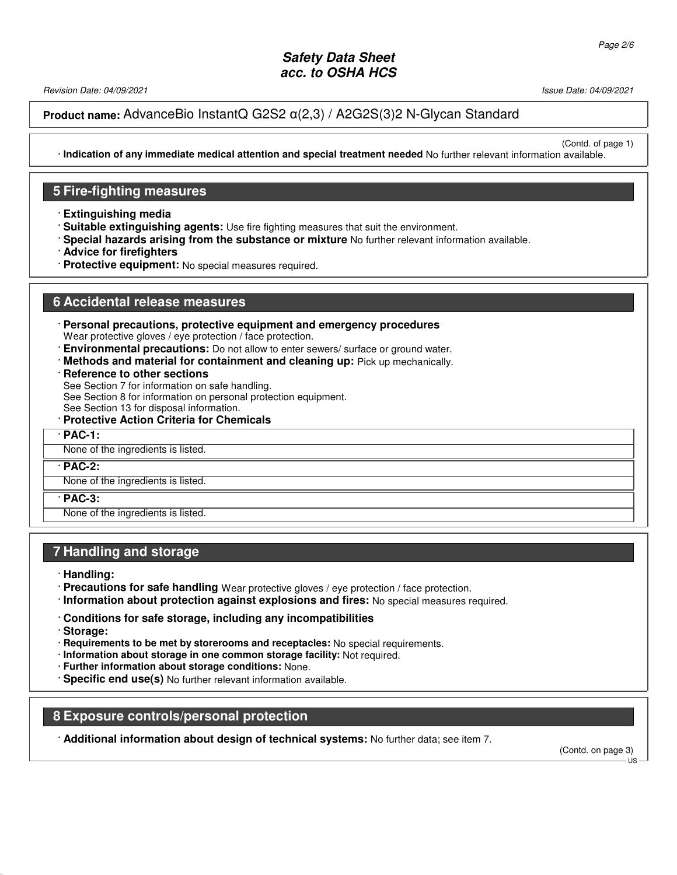Revision Date: 04/09/2021 Issue Date: 04/09/2021

(Contd. of page 1)

### **Product name:** AdvanceBio InstantQ G2S2 α(2,3) / A2G2S(3)2 N-Glycan Standard

· **Indication of any immediate medical attention and special treatment needed** No further relevant information available.

#### **5 Fire-fighting measures**

- · **Extinguishing media**
- · **Suitable extinguishing agents:** Use fire fighting measures that suit the environment.
- · **Special hazards arising from the substance or mixture** No further relevant information available.
- · **Advice for firefighters**
- · **Protective equipment:** No special measures required.

#### **6 Accidental release measures**

- · **Personal precautions, protective equipment and emergency procedures** Wear protective gloves / eye protection / face protection.
- · **Environmental precautions:** Do not allow to enter sewers/ surface or ground water.
- · **Methods and material for containment and cleaning up:** Pick up mechanically.
- · **Reference to other sections**

See Section 7 for information on safe handling.

See Section 8 for information on personal protection equipment.

See Section 13 for disposal information.

· **Protective Action Criteria for Chemicals**

· **PAC-1:**

#### None of the ingredients is listed.

· **PAC-2:**

None of the ingredients is listed.

· **PAC-3:**

None of the ingredients is listed.

#### **7 Handling and storage**

- · **Handling:**
- · **Precautions for safe handling** Wear protective gloves / eye protection / face protection.
- · **Information about protection against explosions and fires:** No special measures required.
- · **Conditions for safe storage, including any incompatibilities**
- · **Storage:**

52.0.1.1

- · **Requirements to be met by storerooms and receptacles:** No special requirements.
- · **Information about storage in one common storage facility:** Not required.
- · **Further information about storage conditions:** None.
- · **Specific end use(s)** No further relevant information available.

#### **8 Exposure controls/personal protection**

· **Additional information about design of technical systems:** No further data; see item 7.

(Contd. on page 3)

 $\overline{18}$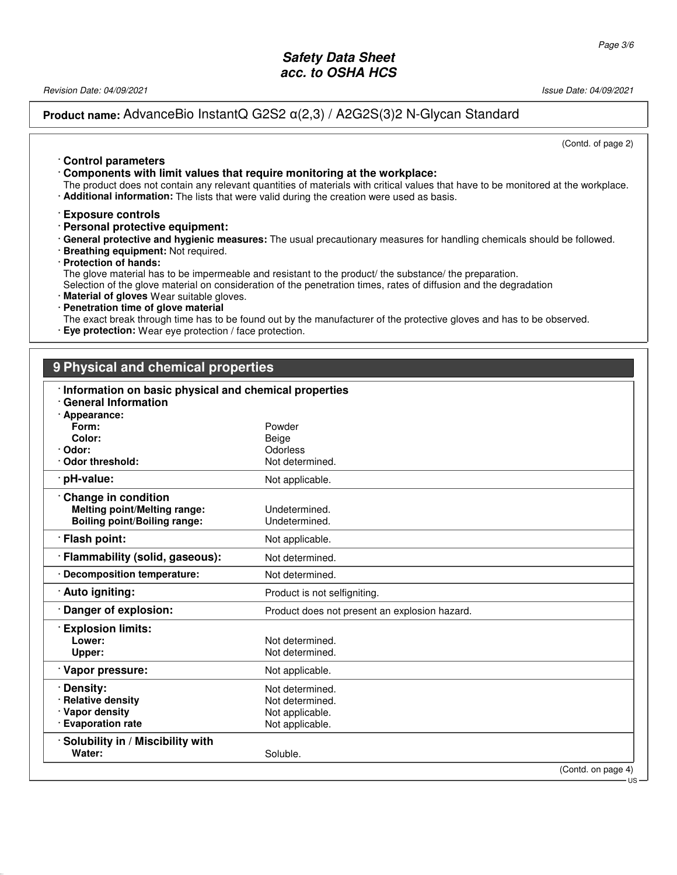Revision Date: 04/09/2021 Issue Date: 04/09/2021

**Product name:** AdvanceBio InstantQ G2S2 α(2,3) / A2G2S(3)2 N-Glycan Standard

(Contd. of page 2)

· **Control parameters** · **Components with limit values that require monitoring at the workplace:**

The product does not contain any relevant quantities of materials with critical values that have to be monitored at the workplace. · **Additional information:** The lists that were valid during the creation were used as basis.

- · **Exposure controls**
- · **Personal protective equipment:**
- · **General protective and hygienic measures:** The usual precautionary measures for handling chemicals should be followed.
- · **Breathing equipment:** Not required.
- · **Protection of hands:**

52.0.1.1

The glove material has to be impermeable and resistant to the product/ the substance/ the preparation.

Selection of the glove material on consideration of the penetration times, rates of diffusion and the degradation

- · **Material of gloves** Wear suitable gloves.
- · **Penetration time of glove material**

The exact break through time has to be found out by the manufacturer of the protective gloves and has to be observed.

· **Eye protection:** Wear eye protection / face protection.

# **9 Physical and chemical properties**

| Information on basic physical and chemical properties |                                               |  |
|-------------------------------------------------------|-----------------------------------------------|--|
| <b>General Information</b>                            |                                               |  |
| · Appearance:                                         |                                               |  |
| Form:                                                 | Powder                                        |  |
| Color:                                                | Beige                                         |  |
| · Odor:<br>· Odor threshold:                          | Odorless                                      |  |
|                                                       | Not determined.                               |  |
| · pH-value:                                           | Not applicable.                               |  |
| Change in condition                                   |                                               |  |
| <b>Melting point/Melting range:</b>                   | Undetermined.                                 |  |
| <b>Boiling point/Boiling range:</b>                   | Undetermined.                                 |  |
| · Flash point:                                        | Not applicable.                               |  |
| · Flammability (solid, gaseous):                      | Not determined.                               |  |
| · Decomposition temperature:                          | Not determined.                               |  |
| · Auto igniting:                                      | Product is not selfigniting.                  |  |
| Danger of explosion:                                  | Product does not present an explosion hazard. |  |
| <b>Explosion limits:</b>                              |                                               |  |
| Lower:                                                | Not determined.                               |  |
| Upper:                                                | Not determined.                               |  |
| Vapor pressure:                                       | Not applicable.                               |  |
|                                                       |                                               |  |
| · Density:                                            | Not determined.                               |  |
| · Relative density                                    | Not determined.                               |  |
| · Vapor density                                       | Not applicable.                               |  |
| · Evaporation rate                                    | Not applicable.                               |  |
| · Solubility in / Miscibility with                    |                                               |  |
| Water:                                                | Soluble.                                      |  |
|                                                       | (Contd. on page 4)<br>US                      |  |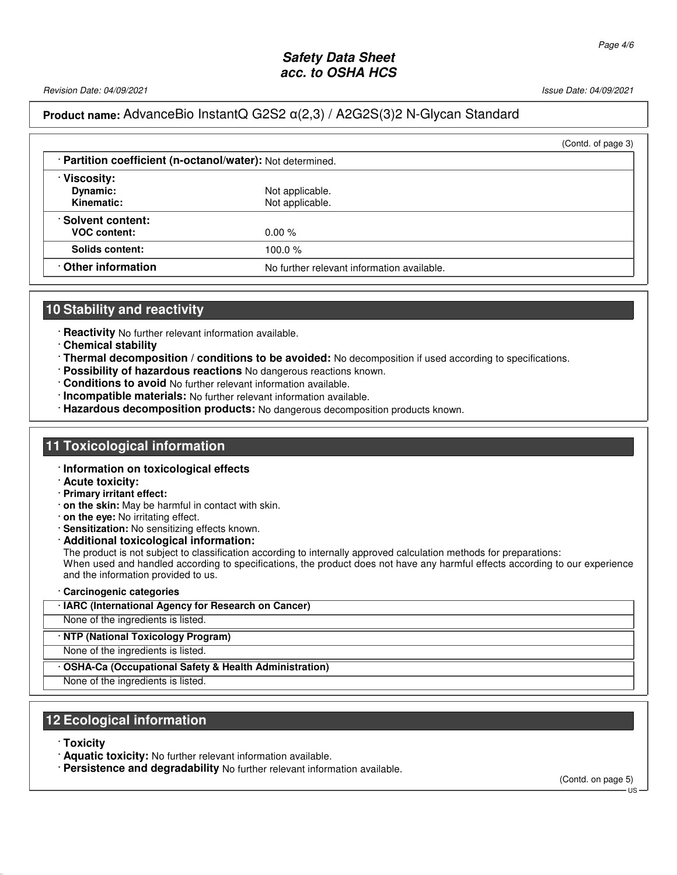Revision Date: 04/09/2021 Issue Date: 04/09/2021

## **Product name:** AdvanceBio InstantQ G2S2 α(2,3) / A2G2S(3)2 N-Glycan Standard

|                                                          | (Contd. of page 3)                         |  |
|----------------------------------------------------------|--------------------------------------------|--|
| Partition coefficient (n-octanol/water): Not determined. |                                            |  |
| · Viscosity:<br>Dynamic:<br>Kinematic:                   | Not applicable.<br>Not applicable.         |  |
| <b>Solvent content:</b><br><b>VOC content:</b>           | $0.00 \%$                                  |  |
| Solids content:                                          | 100.0%                                     |  |
| Other information                                        | No further relevant information available. |  |

### **10 Stability and reactivity**

· **Reactivity** No further relevant information available.

- · **Chemical stability**
- · **Thermal decomposition / conditions to be avoided:** No decomposition if used according to specifications.
- · **Possibility of hazardous reactions** No dangerous reactions known.
- · **Conditions to avoid** No further relevant information available.
- · **Incompatible materials:** No further relevant information available.
- · **Hazardous decomposition products:** No dangerous decomposition products known.

### **11 Toxicological information**

#### · **Information on toxicological effects**

- · **Acute toxicity:**
- · **Primary irritant effect:**
- · **on the skin:** May be harmful in contact with skin.
- · **on the eye:** No irritating effect.
- · **Sensitization:** No sensitizing effects known.
- · **Additional toxicological information:**

The product is not subject to classification according to internally approved calculation methods for preparations: When used and handled according to specifications, the product does not have any harmful effects according to our experience and the information provided to us.

- · **Carcinogenic categories**
- · **IARC (International Agency for Research on Cancer)**

None of the ingredients is listed.

· **NTP (National Toxicology Program)**

- None of the ingredients is listed.
- · **OSHA-Ca (Occupational Safety & Health Administration)**

None of the ingredients is listed.

#### **12 Ecological information**

· **Toxicity**

52.0.1.1

· **Aquatic toxicity:** No further relevant information available.

· **Persistence and degradability** No further relevant information available.

(Contd. on page 5)

US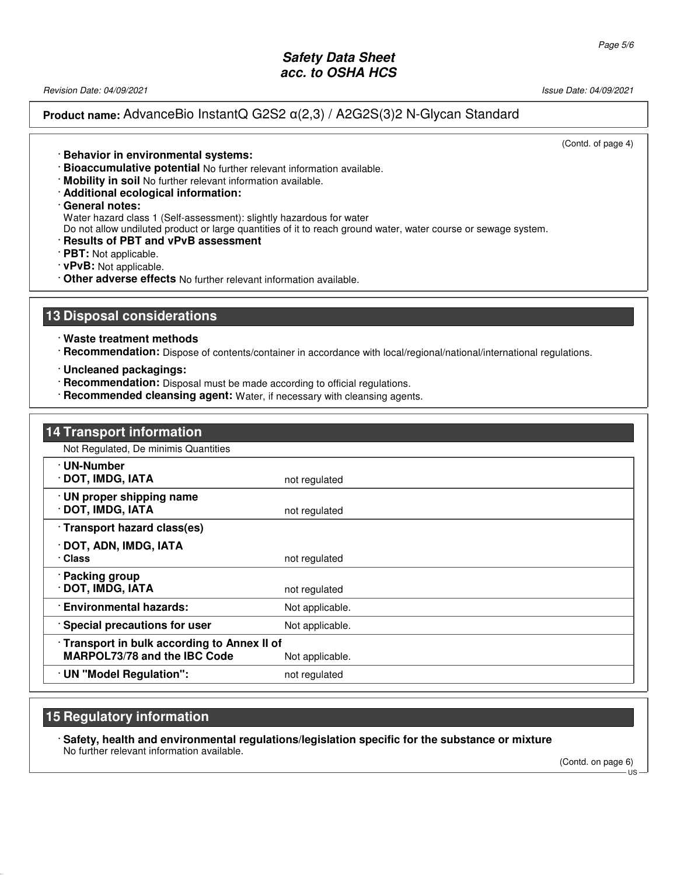Revision Date: 04/09/2021 Issue Date: 04/09/2021

**Product name:** AdvanceBio InstantQ G2S2 α(2,3) / A2G2S(3)2 N-Glycan Standard

(Contd. of page 4)

- · **Behavior in environmental systems:**
- · **Bioaccumulative potential** No further relevant information available.
- · **Mobility in soil** No further relevant information available.
- · **Additional ecological information:**
- · **General notes:**
- Water hazard class 1 (Self-assessment): slightly hazardous for water
- Do not allow undiluted product or large quantities of it to reach ground water, water course or sewage system.
- · **Results of PBT and vPvB assessment**
- · **PBT:** Not applicable.
- · **vPvB:** Not applicable.
- · **Other adverse effects** No further relevant information available.

#### **13 Disposal considerations**

· **Waste treatment methods**

· **Recommendation:** Dispose of contents/container in accordance with local/regional/national/international regulations.

- · **Uncleaned packagings:**
- · **Recommendation:** Disposal must be made according to official regulations.
- · **Recommended cleansing agent:** Water, if necessary with cleansing agents.

| <b>14 Transport information</b>                                              |                 |
|------------------------------------------------------------------------------|-----------------|
| Not Regulated, De minimis Quantities                                         |                 |
| · UN-Number<br>· DOT, IMDG, IATA                                             | not regulated   |
| · UN proper shipping name<br>· DOT, IMDG, IATA                               | not regulated   |
| Transport hazard class(es)                                                   |                 |
| DOT, ADN, IMDG, IATA<br>· Class                                              | not regulated   |
| · Packing group<br>· DOT, IMDG, IATA                                         | not regulated   |
| · Environmental hazards:                                                     | Not applicable. |
| · Special precautions for user                                               | Not applicable. |
| · Transport in bulk according to Annex II of<br>MARPOL73/78 and the IBC Code | Not applicable. |
| · UN "Model Regulation":                                                     | not regulated   |

#### **15 Regulatory information**

52.0.1.1

· **Safety, health and environmental regulations/legislation specific for the substance or mixture** No further relevant information available.

(Contd. on page 6)  $\overline{18}$